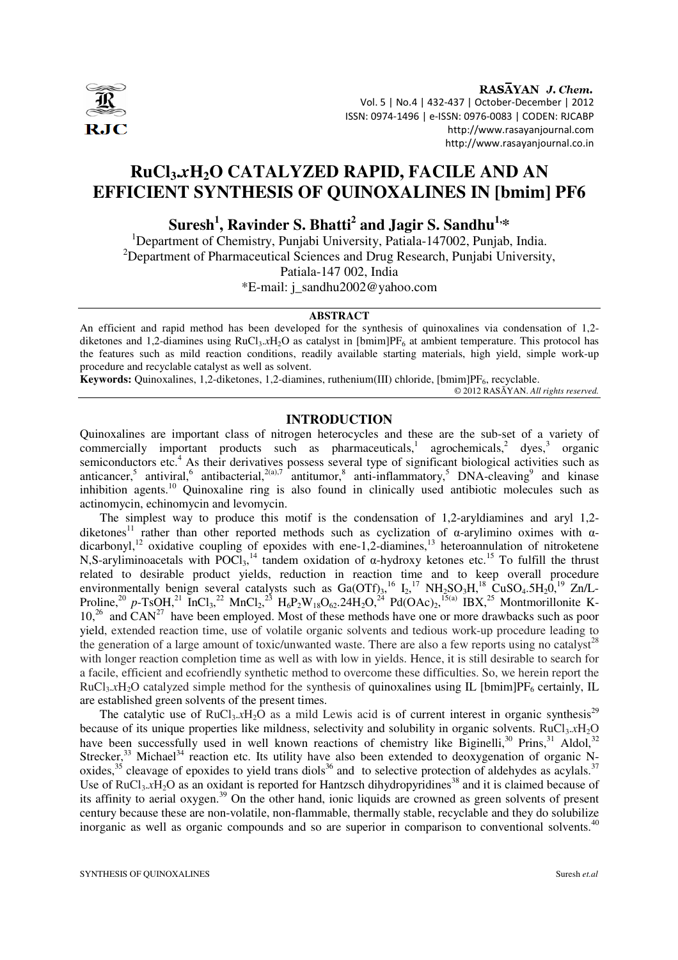

RASAYAN J. Chem. Vol. 5 | No.4 | 432-437 | October-December | 2012 ISSN: 0974-1496 | e-ISSN: 0976-0083 | CODEN: RJCABP http://www.rasayanjournal.com http://www.rasayanjournal.co.in

# **RuCl3.***x***H2O CATALYZED RAPID, FACILE AND AN EFFICIENT SYNTHESIS OF QUINOXALINES IN [bmim] PF6**

# **Suresh<sup>1</sup> , Ravinder S. Bhatti<sup>2</sup> and Jagir S. Sandhu1,\***

<sup>1</sup>Department of Chemistry, Punjabi University, Patiala-147002, Punjab, India. <sup>2</sup>Department of Pharmaceutical Sciences and Drug Research, Punjabi University, Patiala-147 002, India \*E-mail: j\_sandhu2002@yahoo.com

#### **ABSTRACT**

An efficient and rapid method has been developed for the synthesis of quinoxalines via condensation of 1,2 diketones and 1,2-diamines using  $RuCl<sub>3</sub>.xH<sub>2</sub>O$  as catalyst in  $[bmin]PF<sub>6</sub>$  at ambient temperature. This protocol has the features such as mild reaction conditions, readily available starting materials, high yield, simple work-up procedure and recyclable catalyst as well as solvent.

Keywords: Quinoxalines, 1,2-diketones, 1,2-diamines, ruthenium(III) chloride, [bmim]PF<sub>6</sub>, recyclable.

© 2012 RASĀYAN. *All rights reserved.*

## **INTRODUCTION**

Quinoxalines are important class of nitrogen heterocycles and these are the sub-set of a variety of commercially important products such as pharmaceuticals,<sup>1</sup> agrochemicals,<sup>2</sup> dyes,<sup>3</sup> organic semiconductors etc.<sup>4</sup> As their derivatives possess several type of significant biological activities such as anticancer,<sup>5</sup> antiviral,<sup>6</sup> antibacterial,<sup>2(a),7</sup> antitumor,<sup>8</sup> anti-inflammatory,<sup>5</sup> DNA-cleaving<sup>9</sup> and kinase inhibition agents.<sup>10</sup> Quinoxaline ring is also found in clinically used antibiotic molecules such as actinomycin, echinomycin and levomycin.

The simplest way to produce this motif is the condensation of 1,2-aryldiamines and aryl 1,2 diketones<sup>11</sup> rather than other reported methods such as cyclization of α-arylimino oximes with αdicarbonyl,<sup>12</sup> oxidative coupling of epoxides with ene-1,2-diamines,<sup>13</sup> heteroannulation of nitroketene N,S-aryliminoacetals with  $\overline{POCl}_{3}$ ,<sup>14</sup> tandem oxidation of  $\alpha$ -hydroxy ketones etc.<sup>15</sup> To fulfill the thrust related to desirable product yields, reduction in reaction time and to keep overall procedure environmentally benign several catalysts such as  $Ga(OTf)_{3}^{16} I_{2}^{17} NH_{2}SO_{3}H^{18}CuSO_{4}.5H_{2}O^{19} Zn/L$ Proline,<sup>20</sup> p-TsOH,<sup>21</sup> InCl<sub>3</sub>,<sup>22</sup> MnCl<sub>2</sub>,<sup>23</sup> H<sub>6</sub>P<sub>2</sub>W<sub>18</sub>O<sub>62</sub>.24H<sub>2</sub>O,<sup>24</sup> Pd(OAc)<sub>2</sub>,<sup>15(a)</sup> IBX,<sup>25</sup> Montmorillonite K- $10<sup>26</sup>$  and CAN<sup>27</sup> have been employed. Most of these methods have one or more drawbacks such as poor yield, extended reaction time, use of volatile organic solvents and tedious work-up procedure leading to the generation of a large amount of toxic/unwanted waste. There are also a few reports using no catalyst<sup>28</sup> with longer reaction completion time as well as with low in yields. Hence, it is still desirable to search for a facile, efficient and ecofriendly synthetic method to overcome these difficulties. So, we herein report the  $RuCl<sub>3</sub>$ *xH*<sub>2</sub>O catalyzed simple method for the synthesis of quinoxalines using IL [bmim]PF<sub>6</sub> certainly, IL are established green solvents of the present times.

The catalytic use of  $RuCl<sub>3</sub>.xH<sub>2</sub>O$  as a mild Lewis acid is of current interest in organic synthesis<sup>29</sup> because of its unique properties like mildness, selectivity and solubility in organic solvents. RuCl<sub>3</sub>.*x*H<sub>2</sub>O have been successfully used in well known reactions of chemistry like Biginelli,<sup>30</sup> Prins,<sup>31</sup> Aldol,<sup>32</sup> Strecker,  $33$  Michael  $34$  reaction etc. Its utility have also been extended to deoxygenation of organic Noxides,  $35$  cleavage of epoxides to yield trans diols<sup>36</sup> and to selective protection of aldehydes as acylals.<sup>37</sup> Use of RuCl<sub>3</sub>.*x*H<sub>2</sub>O as an oxidant is reported for Hantzsch dihydropyridines<sup>38</sup> and it is claimed because of its affinity to aerial oxygen.<sup>39</sup> On the other hand, ionic liquids are crowned as green solvents of present century because these are non-volatile, non-flammable, thermally stable, recyclable and they do solubilize inorganic as well as organic compounds and so are superior in comparison to conventional solvents.<sup>40</sup>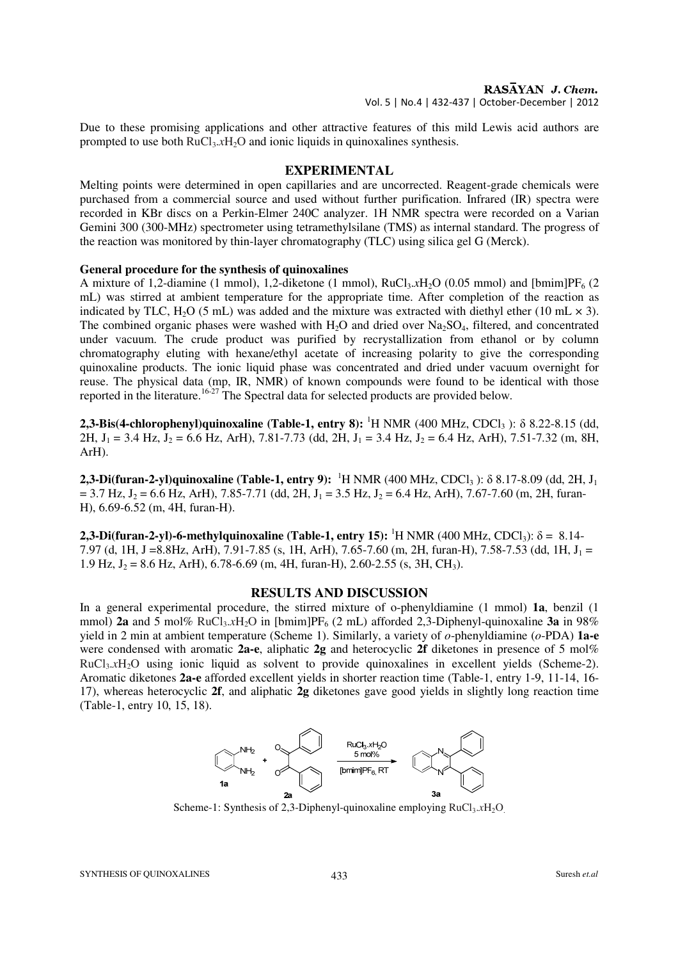Due to these promising applications and other attractive features of this mild Lewis acid authors are prompted to use both  $RuCl<sub>3</sub>.xH<sub>2</sub>O$  and ionic liquids in quinoxalines synthesis.

## **EXPERIMENTAL**

Melting points were determined in open capillaries and are uncorrected. Reagent-grade chemicals were purchased from a commercial source and used without further purification. Infrared (IR) spectra were recorded in KBr discs on a Perkin-Elmer 240C analyzer. 1H NMR spectra were recorded on a Varian Gemini 300 (300-MHz) spectrometer using tetramethylsilane (TMS) as internal standard. The progress of the reaction was monitored by thin-layer chromatography (TLC) using silica gel G (Merck).

### **General procedure for the synthesis of quinoxalines**

A mixture of 1,2-diamine (1 mmol), 1,2-diketone (1 mmol),  $RuCl<sub>3</sub>.xH<sub>2</sub>O$  (0.05 mmol) and [bmim]PF<sub>6</sub> (2 mL) was stirred at ambient temperature for the appropriate time. After completion of the reaction as indicated by TLC, H<sub>2</sub>O (5 mL) was added and the mixture was extracted with diethyl ether (10 mL  $\times$  3). The combined organic phases were washed with  $H_2O$  and dried over  $Na_2SO_4$ , filtered, and concentrated under vacuum. The crude product was purified by recrystallization from ethanol or by column chromatography eluting with hexane/ethyl acetate of increasing polarity to give the corresponding quinoxaline products. The ionic liquid phase was concentrated and dried under vacuum overnight for reuse. The physical data (mp, IR, NMR) of known compounds were found to be identical with those reported in the literature.<sup>16-27</sup> The Spectral data for selected products are provided below.

**2,3-Bis(4-chlorophenyl)quinoxaline (Table-1, entry 8):** <sup>1</sup>H NMR (400 MHz, CDCl<sub>3</sub>):  $\delta$  8.22-8.15 (dd, 2H,  $J_1 = 3.4$  Hz,  $J_2 = 6.6$  Hz, ArH), 7.81-7.73 (dd, 2H,  $J_1 = 3.4$  Hz,  $J_2 = 6.4$  Hz, ArH), 7.51-7.32 (m, 8H, ArH).

**2,3-Di(furan-2-yl)quinoxaline (Table-1, entry 9):** <sup>1</sup>H NMR (400 MHz, CDCl<sub>3</sub>): δ 8.17-8.09 (dd, 2H, J<sub>1</sub>)  $= 3.7$  Hz,  $J_2 = 6.6$  Hz, ArH), 7.85-7.71 (dd, 2H,  $J_1 = 3.5$  Hz,  $J_2 = 6.4$  Hz, ArH), 7.67-7.60 (m, 2H, furan-H), 6.69-6.52 (m, 4H, furan-H).

**2,3-Di(furan-2-yl)-6-methylquinoxaline (Table-1, entry 15):** <sup>1</sup>H NMR (400 MHz, CDCl<sub>3</sub>):  $\delta = 8.14$ -7.97 (d, 1H, J = 8.8Hz, ArH), 7.91-7.85 (s, 1H, ArH), 7.65-7.60 (m, 2H, furan-H), 7.58-7.53 (dd, 1H, J<sub>1</sub> = 1.9 Hz,  $J_2 = 8.6$  Hz, ArH), 6.78-6.69 (m, 4H, furan-H), 2.60-2.55 (s, 3H, CH<sub>3</sub>).

#### **RESULTS AND DISCUSSION**

In a general experimental procedure, the stirred mixture of o-phenyldiamine (1 mmol) **1a**, benzil (1 mmol) **2a** and 5 mol% RuCl<sub>3</sub>.xH<sub>2</sub>O in [bmim]PF<sub>6</sub> (2 mL) afforded 2,3-Diphenyl-quinoxaline **3a** in 98% yield in 2 min at ambient temperature (Scheme 1). Similarly, a variety of *o*-phenyldiamine (*o*-PDA) **1a-e** were condensed with aromatic **2a-e**, aliphatic **2g** and heterocyclic **2f** diketones in presence of 5 mol% RuCl3.*x*H2O using ionic liquid as solvent to provide quinoxalines in excellent yields (Scheme-2). Aromatic diketones **2a-e** afforded excellent yields in shorter reaction time (Table-1, entry 1-9, 11-14, 16- 17), whereas heterocyclic **2f**, and aliphatic **2g** diketones gave good yields in slightly long reaction time (Table-1, entry 10, 15, 18).



Scheme-1: Synthesis of 2.3-Diphenyl-quinoxaline employing RuCl<sub>3</sub>.xH<sub>2</sub>O.

SYNTHESIS OF QUINOXALINES **433** Suresh *et.al*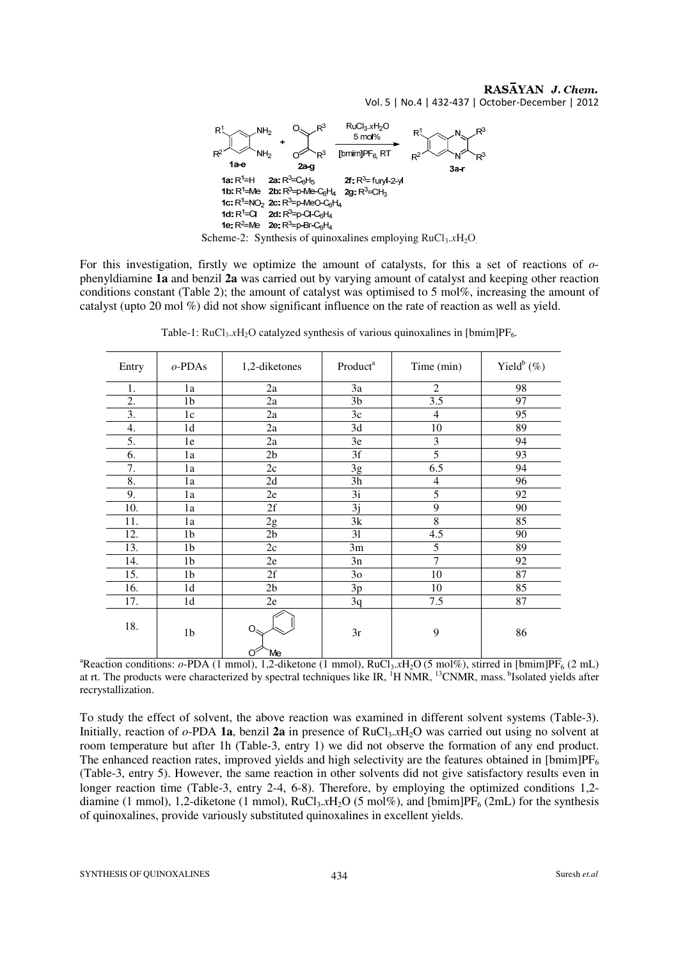### RASAYAN J. Chem. Vol. 5 | No.4 | 432-437 | October-December | 2012



For this investigation, firstly we optimize the amount of catalysts, for this a set of reactions of *o*phenyldiamine **1a** and benzil **2a** was carried out by varying amount of catalyst and keeping other reaction conditions constant (Table 2); the amount of catalyst was optimised to 5 mol%, increasing the amount of catalyst (upto 20 mol %) did not show significant influence on the rate of reaction as well as yield.

| Entry | $o$ -PDAs      | 1,2-diketones  | Product <sup>a</sup> | Time (min)              | Yield $^b$ (%) |
|-------|----------------|----------------|----------------------|-------------------------|----------------|
| 1.    | 1a             | 2a             | 3a                   | 2                       | 98             |
| 2.    | 1 <sub>b</sub> | 2a             | 3 <sub>b</sub>       | 3.5                     | 97             |
| 3.    | 1c             | 2a             | 3c                   | 4                       | 95             |
| 4.    | 1 <sub>d</sub> | 2a             | 3d                   | 10                      | 89             |
| 5.    | 1e             | 2a             | 3e                   | $\overline{\mathbf{3}}$ | 94             |
| 6.    | 1a             | 2 <sub>b</sub> | $\overline{3f}$      | $\overline{5}$          | 93             |
| 7.    | 1a             | 2c             | 3g                   | 6.5                     | 94             |
| 8.    | 1a             | 2d             | 3h                   | $\overline{4}$          | 96             |
| 9.    | 1a             | 2e             | 3i                   | 5                       | 92             |
| 10.   | 1a             | 2f             | 3j                   | 9                       | 90             |
| 11.   | 1a             | 2g             | 3k                   | $\overline{8}$          | 85             |
| 12.   | 1 <sub>b</sub> | 2 <sub>b</sub> | 31                   | 4.5                     | 90             |
| 13.   | 1 <sub>b</sub> | 2c             | 3m                   | 5                       | 89             |
| 14.   | 1 <sub>b</sub> | 2e             | 3n                   | $\overline{7}$          | 92             |
| 15.   | 1 <sub>b</sub> | 2f             | 3 <sub>o</sub>       | 10                      | 87             |
| 16.   | 1 <sub>d</sub> | 2 <sub>b</sub> | 3p                   | 10                      | 85             |
| 17.   | 1 <sub>d</sub> | $2\mathrm{e}$  | 3q                   | 7.5                     | 87             |
| 18.   | 1 <sub>b</sub> | O.<br>Ő<br>Me  | 3r                   | 9                       | 86             |

Table-1:  $RuCl<sub>3</sub>.xH<sub>2</sub>O$  catalyzed synthesis of various quinoxalines in [bmim] $PF<sub>6</sub>$ .

<sup>a</sup>Reaction conditions:  $o-PDA$  (1 mmol), 1,2-diketone (1 mmol), RuCl<sub>3</sub>.*x*H<sub>2</sub>O (5 mol%), stirred in [bmim]PF<sub>6</sub> (2 mL) at rt. The products were characterized by spectral techniques like IR, <sup>1</sup>H NMR, <sup>13</sup>CNMR, mass.<sup>b</sup>Isolated yields after recrystallization.

To study the effect of solvent, the above reaction was examined in different solvent systems (Table-3). Initially, reaction of  $o$ -PDA **1a**, benzil **2a** in presence of RuCl<sub>3</sub>.xH<sub>2</sub>O was carried out using no solvent at room temperature but after 1h (Table-3, entry 1) we did not observe the formation of any end product. The enhanced reaction rates, improved yields and high selectivity are the features obtained in  $[{\rm bmin}]PF_6$ (Table-3, entry 5). However, the same reaction in other solvents did not give satisfactory results even in longer reaction time (Table-3, entry 2-4, 6-8). Therefore, by employing the optimized conditions 1,2diamine (1 mmol), 1,2-diketone (1 mmol), RuCl<sub>3</sub>.xH<sub>2</sub>O (5 mol%), and [bmim]PF<sub>6</sub> (2mL) for the synthesis of quinoxalines, provide variously substituted quinoxalines in excellent yields.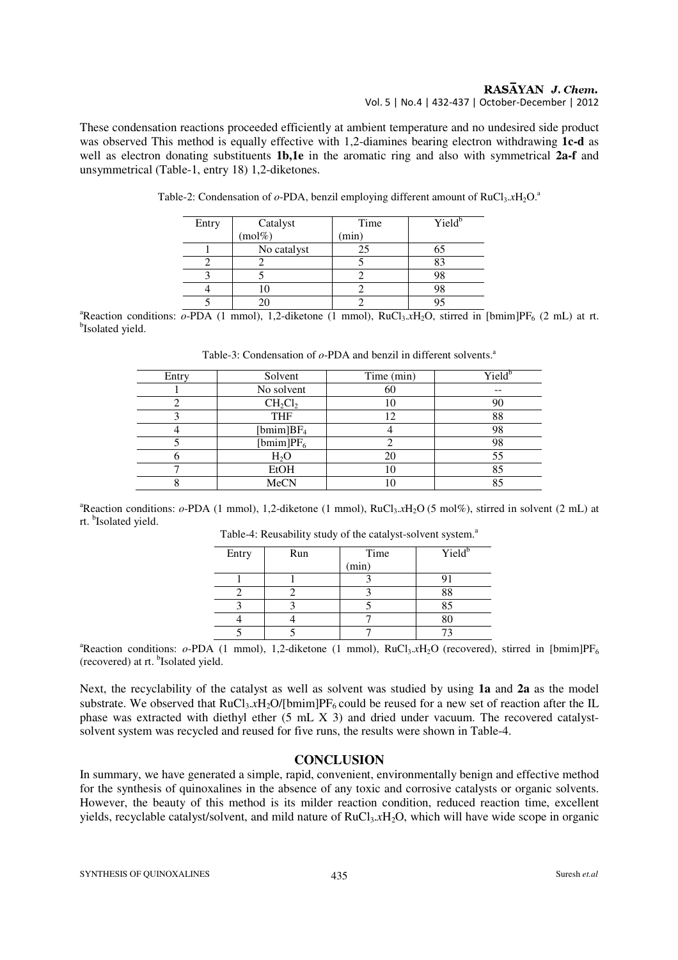#### RASAYAN J. Chem. Vol. 5 | No.4 | 432-437 | October-December | 2012

These condensation reactions proceeded efficiently at ambient temperature and no undesired side product was observed This method is equally effective with 1,2-diamines bearing electron withdrawing **1c-d** as well as electron donating substituents **1b,1e** in the aromatic ring and also with symmetrical **2a-f** and unsymmetrical (Table-1, entry 18) 1,2-diketones.

| Entry | Catalyst    | Time  | Yield <sup>b</sup> |
|-------|-------------|-------|--------------------|
|       | $(mol\%)$   | (min) |                    |
|       | No catalyst | 25    |                    |
|       |             |       |                    |
|       |             |       |                    |
|       |             |       |                    |
|       |             |       |                    |

Table-2: Condensation of  $o$ -PDA, benzil employing different amount of RuCl<sub>3</sub>.*x*H<sub>2</sub>O.<sup>a</sup>

<sup>a</sup>Reaction conditions:  $o-PDA$  (1 mmol), 1,2-diketone (1 mmol), RuCl<sub>3</sub>.xH<sub>2</sub>O, stirred in [bmim]PF<sub>6</sub> (2 mL) at rt. <sup>b</sup>Isolated yield.

| Entry | Solvent       | Time (min) | Yield <sup>b</sup> |
|-------|---------------|------------|--------------------|
|       | No solvent    | 60         |                    |
|       | $CH_2Cl_2$    | 10         | 90                 |
|       | <b>THF</b>    | 12         | 88                 |
|       | [bmim] $BF_4$ |            | 98                 |
|       | [bmim] $PF6$  |            | 98                 |
|       | $H_2O$        | 20         | 55                 |
|       | <b>EtOH</b>   | 10         | 85                 |
|       | MeCN          | 10         | 85                 |

Table-3: Condensation of  $o$ -PDA and benzil in different solvents.<sup>a</sup>

<sup>a</sup>Reaction conditions:  $o$ -PDA (1 mmol), 1,2-diketone (1 mmol), RuCl<sub>3</sub>,xH<sub>2</sub>O (5 mol%), stirred in solvent (2 mL) at rt. <sup>b</sup>Isolated yield.

| Entry | Run | Time<br>(min) | Yield <sup>b</sup> |
|-------|-----|---------------|--------------------|
|       |     |               |                    |
|       |     |               | 88                 |
|       |     |               | 85                 |
|       |     |               |                    |
|       |     |               |                    |

Table-4: Reusability study of the catalyst-solvent system.<sup>a</sup>

<sup>a</sup>Reaction conditions:  $o$ -PDA (1 mmol), 1,2-diketone (1 mmol), RuCl<sub>3</sub>.xH<sub>2</sub>O (recovered), stirred in [bmim]PF<sub>6</sub> (recovered) at rt. <sup>b</sup>Isolated yield.

Next, the recyclability of the catalyst as well as solvent was studied by using **1a** and **2a** as the model substrate. We observed that  $RuCl<sub>3</sub>.xH<sub>2</sub>O/[bmin]PF<sub>6</sub>$  could be reused for a new set of reaction after the IL phase was extracted with diethyl ether (5 mL X 3) and dried under vacuum. The recovered catalystsolvent system was recycled and reused for five runs, the results were shown in Table-4.

## **CONCLUSION**

In summary, we have generated a simple, rapid, convenient, environmentally benign and effective method for the synthesis of quinoxalines in the absence of any toxic and corrosive catalysts or organic solvents. However, the beauty of this method is its milder reaction condition, reduced reaction time, excellent yields, recyclable catalyst/solvent, and mild nature of RuCl<sub>3</sub>.xH<sub>2</sub>O, which will have wide scope in organic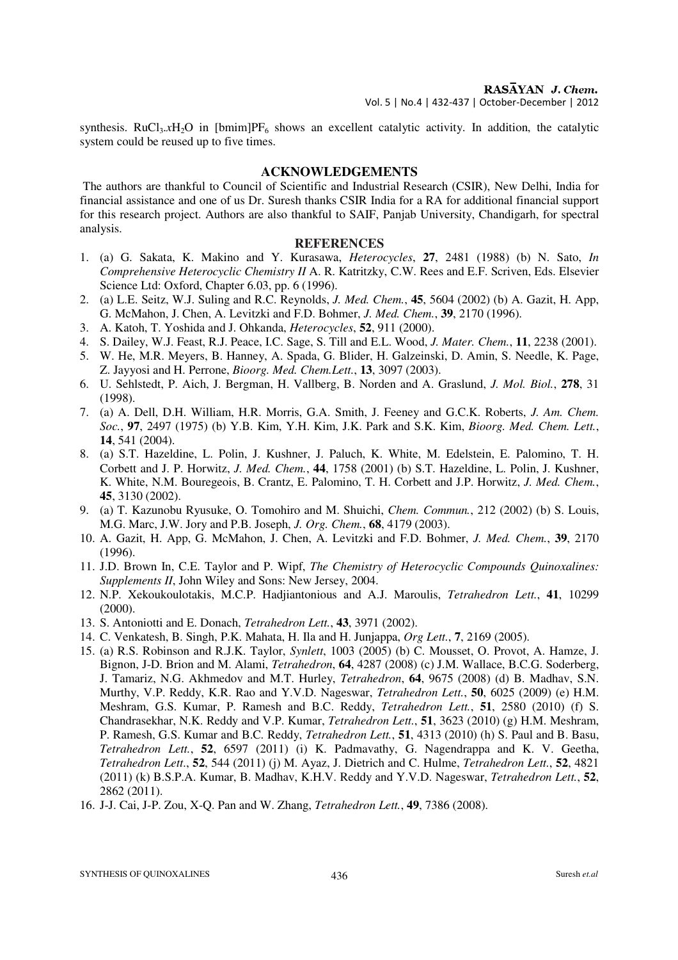synthesis. RuCl<sub>3</sub>.xH<sub>2</sub>O in [bmim]PF<sub>6</sub> shows an excellent catalytic activity. In addition, the catalytic system could be reused up to five times.

### **ACKNOWLEDGEMENTS**

The authors are thankful to Council of Scientific and Industrial Research (CSIR), New Delhi, India for financial assistance and one of us Dr. Suresh thanks CSIR India for a RA for additional financial support for this research project. Authors are also thankful to SAIF, Panjab University, Chandigarh, for spectral analysis.

#### **REFERENCES**

- 1. (a) G. Sakata, K. Makino and Y. Kurasawa, *Heterocycles*, **27**, 2481 (1988) (b) N. Sato, *In Comprehensive Heterocyclic Chemistry II* A. R. Katritzky, C.W. Rees and E.F. Scriven, Eds. Elsevier Science Ltd: Oxford, Chapter 6.03, pp. 6 (1996).
- 2. (a) L.E. Seitz, W.J. Suling and R.C. Reynolds, *J. Med. Chem.*, **45**, 5604 (2002) (b) A. Gazit, H. App, G. McMahon, J. Chen, A. Levitzki and F.D. Bohmer, *J. Med. Chem.*, **39**, 2170 (1996).
- 3. A. Katoh, T. Yoshida and J. Ohkanda, *Heterocycles*, **52**, 911 (2000).
- 4. S. Dailey, W.J. Feast, R.J. Peace, I.C. Sage, S. Till and E.L. Wood, *J. Mater. Chem.*, **11**, 2238 (2001).
- 5. W. He, M.R. Meyers, B. Hanney, A. Spada, G. Blider, H. Galzeinski, D. Amin, S. Needle, K. Page, Z. Jayyosi and H. Perrone, *Bioorg. Med. Chem.Lett.*, **13**, 3097 (2003).
- 6. U. Sehlstedt, P. Aich, J. Bergman, H. Vallberg, B. Norden and A. Graslund, *J. Mol. Biol.*, **278**, 31 (1998).
- 7. (a) A. Dell, D.H. William, H.R. Morris, G.A. Smith, J. Feeney and G.C.K. Roberts, *J. Am. Chem. Soc.*, **97**, 2497 (1975) (b) Y.B. Kim, Y.H. Kim, J.K. Park and S.K. Kim, *Bioorg. Med. Chem. Lett.*, **14**, 541 (2004).
- 8. (a) S.T. Hazeldine, L. Polin, J. Kushner, J. Paluch, K. White, M. Edelstein, E. Palomino, T. H. Corbett and J. P. Horwitz, *J. Med. Chem.*, **44**, 1758 (2001) (b) S.T. Hazeldine, L. Polin, J. Kushner, K. White, N.M. Bouregeois, B. Crantz, E. Palomino, T. H. Corbett and J.P. Horwitz, *J. Med. Chem.*, **45**, 3130 (2002).
- 9. (a) T. Kazunobu Ryusuke, O. Tomohiro and M. Shuichi, *Chem. Commun.*, 212 (2002) (b) S. Louis, M.G. Marc, J.W. Jory and P.B. Joseph, *J. Org. Chem.*, **68**, 4179 (2003).
- 10. A. Gazit, H. App, G. McMahon, J. Chen, A. Levitzki and F.D. Bohmer, *J. Med. Chem.*, **39**, 2170 (1996).
- 11. J.D. Brown In, C.E. Taylor and P. Wipf, *The Chemistry of Heterocyclic Compounds Quinoxalines: Supplements II*, John Wiley and Sons: New Jersey, 2004.
- 12. N.P. Xekoukoulotakis, M.C.P. Hadjiantonious and A.J. Maroulis, *Tetrahedron Lett.*, **41**, 10299 (2000).
- 13. S. Antoniotti and E. Donach, *Tetrahedron Lett.*, **43**, 3971 (2002).
- 14. C. Venkatesh, B. Singh, P.K. Mahata, H. Ila and H. Junjappa, *Org Lett.*, **7**, 2169 (2005).
- 15. (a) R.S. Robinson and R.J.K. Taylor, *Synlett*, 1003 (2005) (b) C. Mousset, O. Provot, A. Hamze, J. Bignon, J-D. Brion and M. Alami, *Tetrahedron*, **64**, 4287 (2008) (c) J.M. Wallace, B.C.G. Soderberg, J. Tamariz, N.G. Akhmedov and M.T. Hurley, *Tetrahedron*, **64**, 9675 (2008) (d) B. Madhav, S.N. Murthy, V.P. Reddy, K.R. Rao and Y.V.D. Nageswar, *Tetrahedron Lett.*, **50**, 6025 (2009) (e) H.M. Meshram, G.S. Kumar, P. Ramesh and B.C. Reddy, *Tetrahedron Lett.*, **51**, 2580 (2010) (f) S. Chandrasekhar, N.K. Reddy and V.P. Kumar, *Tetrahedron Lett.*, **51**, 3623 (2010) (g) H.M. Meshram, P. Ramesh, G.S. Kumar and B.C*.* Reddy, *Tetrahedron Lett.*, **51**, 4313 (2010) (h) S. Paul and B. Basu, *Tetrahedron Lett.*, **52**, 6597 (2011) (i) K. Padmavathy, G. Nagendrappa and K. V. Geetha, *Tetrahedron Lett*., **52**, 544 (2011) (j) M. Ayaz, J. Dietrich and C. Hulme, *Tetrahedron Lett.*, **52**, 4821 (2011) (k) B.S.P.A. Kumar, B. Madhav, K.H.V. Reddy and Y.V.D. Nageswar, *Tetrahedron Lett.*, **52**, 2862 (2011).
- 16. J-J. Cai, J-P. Zou, X-Q. Pan and W. Zhang, *Tetrahedron Lett.*, **49**, 7386 (2008).